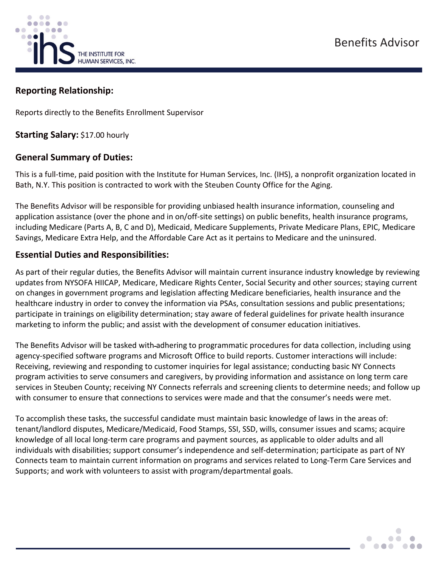



### **Reporting Relationship:**

Reports directly to the Benefits Enrollment Supervisor

**Starting Salary:** \$17.00 hourly

## **General Summary of Duties:**

This is a full-time, paid position with the Institute for Human Services, Inc. (IHS), a nonprofit organization located in Bath, N.Y. This position is contracted to work with the Steuben County Office for the Aging.

The Benefits Advisor will be responsible for providing unbiased health insurance information, counseling and application assistance (over the phone and in on/off-site settings) on public benefits, health insurance programs, including Medicare (Parts A, B, C and D), Medicaid, Medicare Supplements, Private Medicare Plans, EPIC, Medicare Savings, Medicare Extra Help, and the Affordable Care Act as it pertains to Medicare and the uninsured.

### **Essential Duties and Responsibilities:**

As part of their regular duties, the Benefits Advisor will maintain current insurance industry knowledge by reviewing updates from NYSOFA HIICAP, Medicare, Medicare Rights Center, Social Security and other sources; staying current on changes in government programs and legislation affecting Medicare beneficiaries, health insurance and the healthcare industry in order to convey the information via PSAs, consultation sessions and public presentations; participate in trainings on eligibility determination; stay aware of federal guidelines for private health insurance marketing to inform the public; and assist with the development of consumer education initiatives.

The Benefits Advisor will be tasked with adhering to programmatic procedures for data collection, including using agency-specified software programs and Microsoft Office to build reports. Customer interactions will include: Receiving, reviewing and responding to customer inquiries for legal assistance; conducting basic NY Connects program activities to serve consumers and caregivers, by providing information and assistance on long term care services in Steuben County; receiving NY Connects referrals and screening clients to determine needs; and follow up with consumer to ensure that connections to services were made and that the consumer's needs were met.

To accomplish these tasks, the successful candidate must maintain basic knowledge of laws in the areas of: tenant/landlord disputes, Medicare/Medicaid, Food Stamps, SSI, SSD, wills, consumer issues and scams; acquire knowledge of all local long-term care programs and payment sources, as applicable to older adults and all individuals with disabilities; support consumer's independence and self-determination; participate as part of NY Connects team to maintain current information on programs and services related to Long-Term Care Services and Supports; and work with volunteers to assist with program/departmental goals.